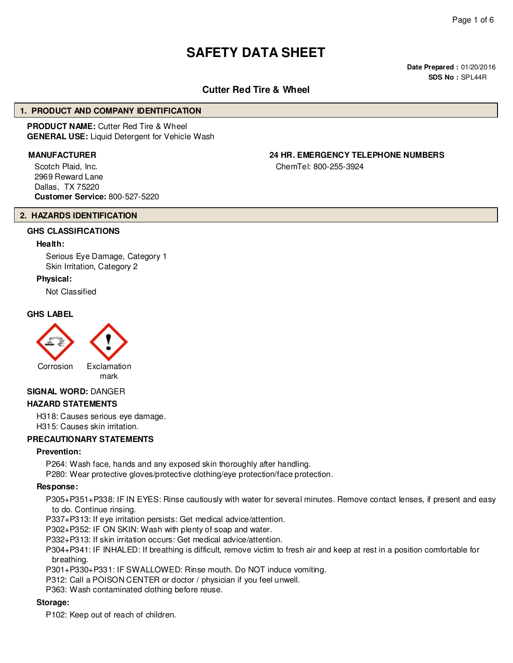# **SAFETY DATA SHEET**

**Date Prepared :** 01/20/2016 **SDS No :** SPL44R

# **Cutter Red Tire & Wheel**

#### **1. PRODUCT AND COMPANY IDENTIFICATION**

**PRODUCT NAME:** Cutter Red Tire & Wheel **GENERAL USE:** Liquid Detergent for Vehicle Wash

Scotch Plaid, Inc. 2969 Reward Lane Dallas, TX 75220 **Customer Service:** 800-527-5220

# **MANUFACTURER 24 HR. EMERGENCY TELEPHONE NUMBERS**

ChemTel: 800-255-3924

#### **2. HAZARDS IDENTIFICATION**

## **GHS CLASSIFICATIONS**

#### **Health:**

Serious Eye Damage, Category 1 Skin Irritation, Category 2

#### **Physical:**

Not Classified

#### **GHS LABEL**



#### **SIGNAL WORD:** DANGER

#### **HAZARD STATEMENTS**

H318: Causes serious eye damage. H315: Causes skin irritation.

#### **PRECAUTIONARY STATEMENTS**

#### **Prevention:**

P264: Wash face, hands and any exposed skin thoroughly after handling.

P280: Wear protective gloves/protective clothing/eye protection/face protection.

#### **Response:**

P305+P351+P338: IF IN EYES: Rinse cautiously with water for several minutes. Remove contact lenses, if present and easy to do. Continue rinsing.

P337+P313: If eye irritation persists: Get medical advice/attention.

P302+P352: IF ON SKIN: Wash with plenty of soap and water.

P332+P313: If skin irritation occurs: Get medical advice/attention.

P304+P341: IF INHALED: If breathing is difficult, remove victim to fresh air and keep at rest in a position comfortable for breathing.

P301+P330+P331: IF SWALLOWED: Rinse mouth. Do NOT induce vomiting.

P312: Call a POISON CENTER or doctor / physician if you feel unwell.

P363: Wash contaminated clothing before reuse.

#### **Storage:**

P102: Keep out of reach of children.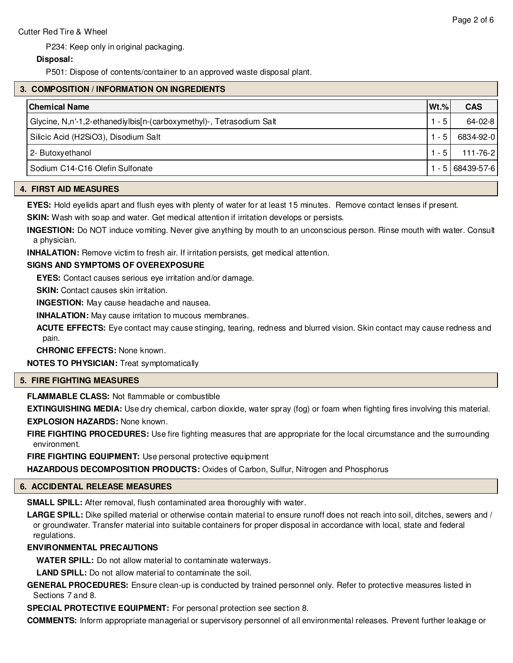P234: Keep only in original packaging.

# **Disposal:**

P501: Dispose of contents/container to an approved waste disposal plant.

# **3. COMPOSITION / INFORMATION ON INGREDIENTS**

| Chemical Name                                                        | $ Wt.\% $    | <b>CAS</b>      |
|----------------------------------------------------------------------|--------------|-----------------|
| Glycine, N,n'-1,2-ethanediylbis[n-(carboxymethyl)-, Tetrasodium Salt | $-5^{\circ}$ | 64-02-8         |
| Silicic Acid (H2SiO3), Disodium Salt                                 | $-5$         | 6834-92-0       |
| 2- Butoxyethanol                                                     | - 5          | 111-76-2        |
| Sodium C14-C16 Olefin Sulfonate                                      |              | $-5168439-57-6$ |

#### **4. FIRST AID MEASURES**

**EYES:** Hold eyelids apart and flush eyes with plenty of water for at least 15 minutes. Remove contact lenses if present.

**SKIN:** Wash with soap and water. Get medical attention if irritation develops or persists.

**INGESTION:** Do NOT induce vomiting. Never give anything by mouth to an unconscious person. Rinse mouth with water. Consult a physician.

**INHALATION:** Remove victim to fresh air. If irritation persists, get medical attention.

# **SIGNS AND SYMPTOMS OF OVEREXPOSURE**

**EYES:** Contact causes serious eye irritation and/or damage.

**SKIN:** Contact causes skin irritation.

**INGESTION:** May cause headache and nausea.

**INHALATION:** May cause irritation to mucous membranes.

**ACUTE EFFECTS:** Eye contact may cause stinging, tearing, redness and blurred vision. Skin contact may cause redness and pain.

**CHRONIC EFFECTS:** None known.

**NOTES TO PHYSICIAN:** Treat symptomatically

# **5. FIRE FIGHTING MEASURES**

**FLAMMABLE CLASS:** Not flammable or combustible

**EXTINGUISHING MEDIA:** Use dry chemical, carbon dioxide, water spray (fog) or foam when fighting fires involving this material. **EXPLOSION HAZARDS:** None known.

**FIRE FIGHTING PROCEDURES:** Use fire fighting measures that are appropriate for the local circumstance and the surrounding environment.

**FIRE FIGHTING EQUIPMENT:** Use personal protective equipment

**HAZARDOUS DECOMPOSITION PRODUCTS:** Oxides of Carbon, Sulfur, Nitrogen and Phosphorus

#### **6. ACCIDENTAL RELEASE MEASURES**

**SMALL SPILL:** After removal, flush contaminated area thoroughly with water.

LARGE SPILL: Dike spilled material or otherwise contain material to ensure runoff does not reach into soil, ditches, sewers and / or groundwater. Transfer material into suitable containers for proper disposal in accordance with local, state and federal regulations.

# **ENVIRONMENTAL PRECAUTIONS**

**WATER SPILL:** Do not allow material to contaminate waterways.

**LAND SPILL:** Do not allow material to contaminate the soil.

**GENERAL PROCEDURES:** Ensure clean-up is conducted by trained personnel only. Refer to protective measures listed in Sections 7 and 8.

**SPECIAL PROTECTIVE EQUIPMENT:** For personal protection see section 8.

**COMMENTS:** Inform appropriate managerial or supervisory personnel of all environmental releases. Prevent further leakage or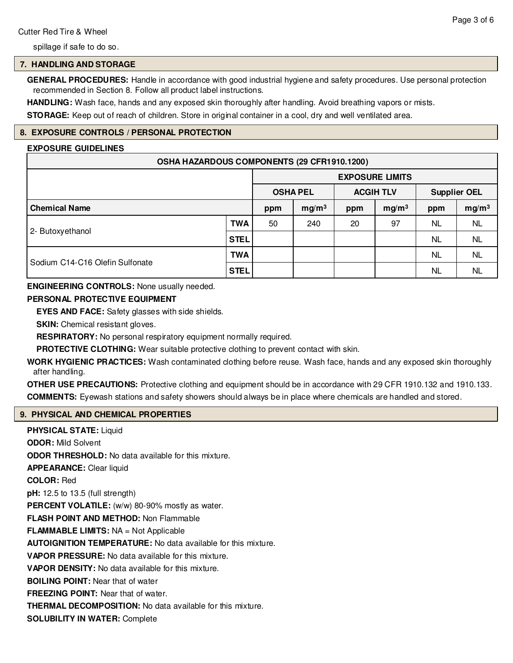spillage if safe to do so.

## **7. HANDLING AND STORAGE**

**GENERAL PROCEDURES:** Handle in accordance with good industrial hygiene and safety procedures. Use personal protection recommended in Section 8. Follow all product label instructions.

**HANDLING:** Wash face, hands and any exposed skin thoroughly after handling. Avoid breathing vapors or mists.

**STORAGE:** Keep out of reach of children. Store in original container in a cool, dry and well ventilated area.

# **8. EXPOSURE CONTROLS / PERSONAL PROTECTION**

#### **EXPOSURE GUIDELINES**

| OSHA HAZARDOUS COMPONENTS (29 CFR1910.1200) |             |                        |                   |                  |                   |                     |                   |
|---------------------------------------------|-------------|------------------------|-------------------|------------------|-------------------|---------------------|-------------------|
|                                             |             | <b>EXPOSURE LIMITS</b> |                   |                  |                   |                     |                   |
|                                             |             | <b>OSHA PEL</b>        |                   | <b>ACGIH TLV</b> |                   | <b>Supplier OEL</b> |                   |
| <b>Chemical Name</b>                        |             | ppm                    | mg/m <sup>3</sup> | ppm              | mg/m <sup>3</sup> | ppm                 | mg/m <sup>3</sup> |
| 2- Butoxyethanol                            | <b>TWA</b>  | 50                     | 240               | 20               | 97                | NL                  | <b>NL</b>         |
|                                             | <b>STEL</b> |                        |                   |                  |                   | <b>NL</b>           | <b>NL</b>         |
| Sodium C14-C16 Olefin Sulfonate             | <b>TWA</b>  |                        |                   |                  |                   | <b>NL</b>           | <b>NL</b>         |
|                                             | <b>STEL</b> |                        |                   |                  |                   | NL                  | <b>NL</b>         |

## **ENGINEERING CONTROLS:** None usually needed.

# **PERSONAL PROTECTIVE EQUIPMENT**

**EYES AND FACE:** Safety glasses with side shields.

**SKIN:** Chemical resistant gloves.

**RESPIRATORY:** No personal respiratory equipment normally required.

**PROTECTIVE CLOTHING:** Wear suitable protective clothing to prevent contact with skin.

**WORK HYGIENIC PRACTICES:** Wash contaminated clothing before reuse. Wash face, hands and any exposed skin thoroughly after handling.

**OTHER USE PRECAUTIONS:** Protective clothing and equipment should be in accordance with 29 CFR 1910.132 and 1910.133. **COMMENTS:** Eyewash stations and safety showers should always be in place where chemicals are handled and stored.

# **9. PHYSICAL AND CHEMICAL PROPERTIES**

**PHYSICAL STATE:** Liquid **ODOR:** Mild Solvent **ODOR THRESHOLD:** No data available for this mixture. **APPEARANCE:** Clear liquid **COLOR:** Red **pH:** 12.5 to 13.5 (full strength) PERCENT VOLATILE: (w/w) 80-90% mostly as water. **FLASH POINT AND METHOD:** Non Flammable **FLAMMABLE LIMITS:** NA = Not Applicable **AUTOIGNITION TEMPERATURE:** No data available for this mixture. **VAPOR PRESSURE:** No data available for this mixture. **VAPOR DENSITY:** No data available for this mixture. **BOILING POINT:** Near that of water **FREEZING POINT:** Near that of water. **THERMAL DECOMPOSITION:** No data available for this mixture. **SOLUBILITY IN WATER:** Complete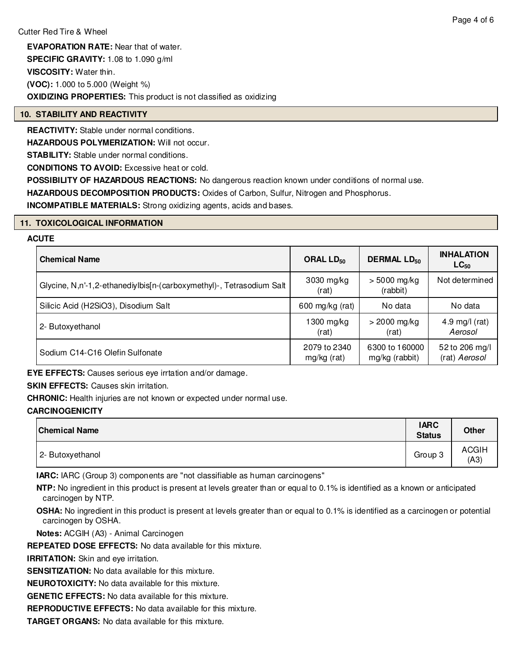**EVAPORATION RATE:** Near that of water. **SPECIFIC GRAVITY:** 1.08 to 1.090 g/ml **VISCOSITY:** Water thin. **(VOC):** 1.000 to 5.000 (Weight %) **OXIDIZING PROPERTIES:** This product is not classified as oxidizing

# **10. STABILITY AND REACTIVITY**

**REACTIVITY:** Stable under normal conditions.

**HAZARDOUS POLYMERIZATION: Will not occur.** 

**STABILITY:** Stable under normal conditions.

**CONDITIONS TO AVOID:** Excessive heat or cold.

**POSSIBILITY OF HAZARDOUS REACTIONS:** No dangerous reaction known under conditions of normal use.

**HAZARDOUS DECOMPOSITION PRODUCTS:** Oxides of Carbon, Sulfur, Nitrogen and Phosphorus.

**INCOMPATIBLE MATERIALS:** Strong oxidizing agents, acids and bases.

## **11. TOXICOLOGICAL INFORMATION**

#### **ACUTE**

| <b>Chemical Name</b>                                                 | ORAL $LD_{50}$              | <b>DERMAL LD<sub>50</sub></b>    | <b>INHALATION</b><br>$LC_{50}$  |
|----------------------------------------------------------------------|-----------------------------|----------------------------------|---------------------------------|
| Glycine, N,n'-1,2-ethanediylbis[n-(carboxymethyl)-, Tetrasodium Salt | 3030 mg/kg<br>(rat)         | $> 5000$ mg/kg<br>(rabbit)       | Not determined                  |
| Silicic Acid (H2SiO3), Disodium Salt                                 | 600 mg/kg (rat)             | No data                          | No data                         |
| 2- Butoxyethanol                                                     | 1300 mg/kg<br>(rat)         | $>$ 2000 mg/kg<br>(rat)          | 4.9 mg/l (rat)<br>Aerosol       |
| Sodium C14-C16 Olefin Sulfonate                                      | 2079 to 2340<br>mg/kg (rat) | 6300 to 160000<br>mg/kg (rabbit) | 52 to 206 mg/l<br>(rat) Aerosol |

**EYE EFFECTS:** Causes serious eye irrtation and/or damage.

# **SKIN EFFECTS: Causes skin irritation.**

**CHRONIC:** Health injuries are not known or expected under normal use.

# **CARCINOGENICITY**

| <b>Chemical Name</b> | <b>IARC</b><br><b>Status</b> | <b>Other</b>         |
|----------------------|------------------------------|----------------------|
| 2- Butoxyethanol     | Group 3                      | <b>ACGIH</b><br>(A3) |

**IARC:** IARC (Group 3) components are "not classifiable as human carcinogens"

**NTP:** No ingredient in this product is present at levels greater than or equal to 0.1% is identified as a known or anticipated carcinogen by NTP.

**OSHA:** No ingredient in this product is present at levels greater than or equal to 0.1% is identified as a carcinogen or potential carcinogen by OSHA.

**Notes:** ACGIH (A3) - Animal Carcinogen

**REPEATED DOSE EFFECTS:** No data available for this mixture.

**IRRITATION:** Skin and eve irritation.

**SENSITIZATION:** No data available for this mixture.

**NEUROTOXICITY:** No data available for this mixture.

**GENETIC EFFECTS:** No data available for this mixture.

**REPRODUCTIVE EFFECTS:** No data available for this mixture.

**TARGET ORGANS:** No data available for this mixture.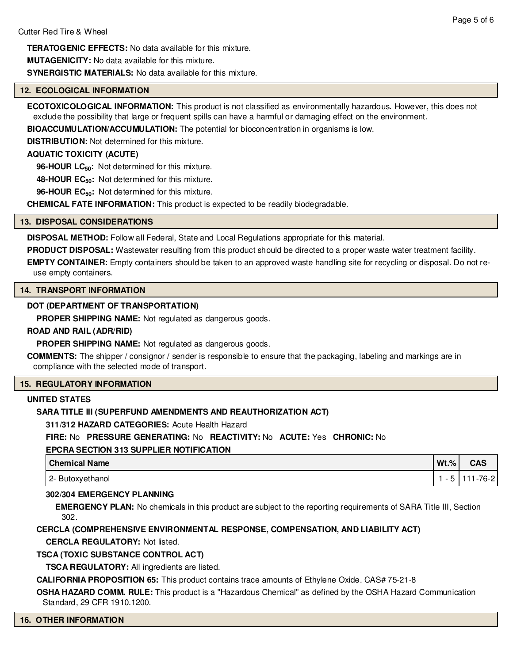**TERATOGENIC EFFECTS:** No data available for this mixture. **MUTAGENICITY:** No data available for this mixture.

**SYNERGISTIC MATERIALS:** No data available for this mixture.

#### **12. ECOLOGICAL INFORMATION**

**ECOTOXICOLOGICAL INFORMATION:** This product is not classified as environmentally hazardous. However, this does not exclude the possibility that large or frequent spills can have a harmful or damaging effect on the environment.

**BIOACCUMULATION/ACCUMULATION:** The potential for bioconcentration in organisms is low.

**DISTRIBUTION:** Not determined for this mixture.

#### **AQUATIC TOXICITY (ACUTE)**

**96-HOUR LC50:** Not determined for this mixture.

**48-HOUR EC50:** Not determined for this mixture.

**96-HOUR EC50:** Not determined for this mixture.

**CHEMICAL FATE INFORMATION:** This product is expected to be readily biodegradable.

#### **13. DISPOSAL CONSIDERATIONS**

**DISPOSAL METHOD:** Follow all Federal, State and Local Regulations appropriate for this material.

**PRODUCT DISPOSAL:** Wastewater resulting from this product should be directed to a proper waste water treatment facility.

**EMPTY CONTAINER:** Empty containers should be taken to an approved waste handling site for recycling or disposal. Do not reuse empty containers.

#### **14. TRANSPORT INFORMATION**

#### **DOT (DEPARTMENT OF TRANSPORTATION)**

**PROPER SHIPPING NAME:** Not regulated as dangerous goods.

#### **ROAD AND RAIL (ADR/RID)**

**PROPER SHIPPING NAME:** Not regulated as dangerous goods.

**COMMENTS:** The shipper / consignor / sender is responsible to ensure that the packaging, labeling and markings are in compliance with the selected mode of transport.

#### **15. REGULATORY INFORMATION**

#### **UNITED STATES**

#### **SARA TITLE III (SUPERFUND AMENDMENTS AND REAUTHORIZATION ACT)**

**311/312 HAZARD CATEGORIES:** Acute Health Hazard

**FIRE:** No **PRESSURE GENERATING:** No **REACTIVITY:** No **ACUTE:** Yes **CHRONIC:** No

#### **EPCRA SECTION 313 SUPPLIER NOTIFICATION**

| Chemical Name    | $Wt$ .%    | CAS            |
|------------------|------------|----------------|
| 2- Butoxyethanol | $\sqrt{2}$ | $111 - 76 - 2$ |

#### **302/304 EMERGENCY PLANNING**

**EMERGENCY PLAN:** No chemicals in this product are subject to the reporting requirements of SARA Title III, Section 302.

#### **CERCLA (COMPREHENSIVE ENVIRONMENTAL RESPONSE, COMPENSATION, AND LIABILITY ACT)**

**CERCLA REGULATORY:** Not listed.

#### **TSCA (TOXIC SUBSTANCE CONTROL ACT)**

**TSCA REGULATORY:** All ingredients are listed.

**CALIFORNIA PROPOSITION 65:** This product contains trace amounts of Ethylene Oxide. CAS# 75-21-8

**OSHA HAZARD COMM. RULE:** This product is a "Hazardous Chemical" as defined by the OSHA Hazard Communication Standard, 29 CFR 1910.1200.